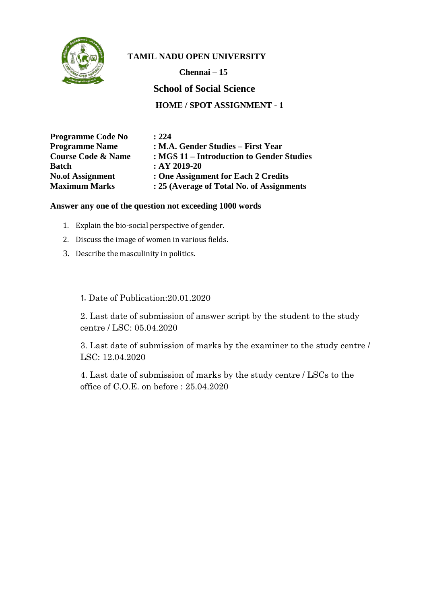

**Chennai – 15 School of Social Science HOME / SPOT ASSIGNMENT - 1**

| <b>Programme Code No</b>      | : 224                                     |
|-------------------------------|-------------------------------------------|
| <b>Programme Name</b>         | : M.A. Gender Studies – First Year        |
| <b>Course Code &amp; Name</b> | : MGS 11 – Introduction to Gender Studies |
| <b>Batch</b>                  | $:AY 2019-20$                             |
| <b>No.of Assignment</b>       | : One Assignment for Each 2 Credits       |
| <b>Maximum Marks</b>          | : 25 (Average of Total No. of Assignments |

#### **Answer any one of the question not exceeding 1000 words**

- 1. Explain the bio-social perspective of gender.
- 2. Discuss the image of women in various fields.
- 3. Describe the masculinity in politics.

1. Date of Publication:20.01.2020

2. Last date of submission of answer script by the student to the study centre / LSC: 05.04.2020

3. Last date of submission of marks by the examiner to the study centre / LSC: 12.04.2020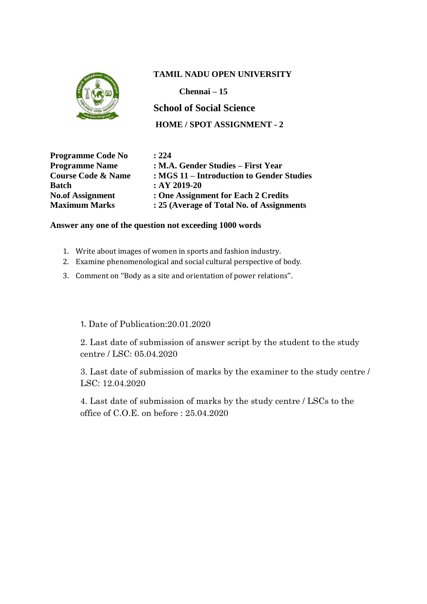

**Chennai – 15**

**School of Social Science HOME / SPOT ASSIGNMENT - 2**

**Programme Code No : 224 Batch : AY 2019-20**

**Programme Name : M.A. Gender Studies – First Year Course Code & Name : MGS 11 – Introduction to Gender Studies No.of Assignment : One Assignment for Each 2 Credits Maximum Marks : 25 (Average of Total No. of Assignments**

#### **Answer any one of the question not exceeding 1000 words**

- 1. Write about images of women in sports and fashion industry.
- 2. Examine phenomenological and social cultural perspective of body.
- 3. Comment on ''Body as a site and orientation of power relations''.

1. Date of Publication:20.01.2020

2. Last date of submission of answer script by the student to the study centre / LSC: 05.04.2020

3. Last date of submission of marks by the examiner to the study centre / LSC: 12.04.2020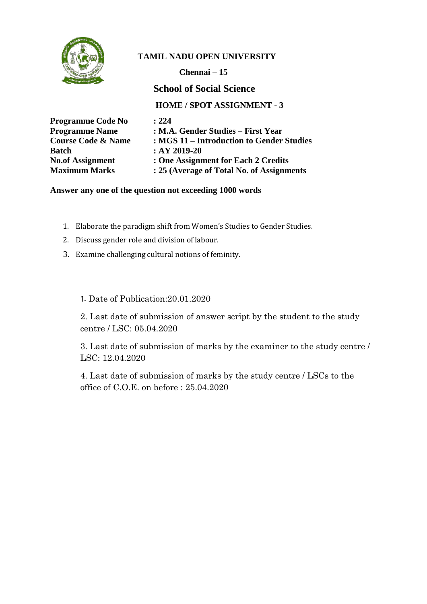

**Chennai – 15**

**School of Social Science**

**HOME / SPOT ASSIGNMENT - 3**

| <b>Programme Code No</b>      | : 224                                     |
|-------------------------------|-------------------------------------------|
| <b>Programme Name</b>         | : M.A. Gender Studies – First Year        |
| <b>Course Code &amp; Name</b> | : MGS 11 – Introduction to Gender Studies |
| <b>Batch</b>                  | $:AY 2019-20$                             |
| <b>No.of Assignment</b>       | : One Assignment for Each 2 Credits       |
| <b>Maximum Marks</b>          | : 25 (Average of Total No. of Assignments |

#### **Answer any one of the question not exceeding 1000 words**

- 1. Elaborate the paradigm shift from Women's Studies to Gender Studies.
- 2. Discuss gender role and division of labour.
- 3. Examine challenging cultural notions of feminity.

1. Date of Publication:20.01.2020

2. Last date of submission of answer script by the student to the study centre / LSC: 05.04.2020

3. Last date of submission of marks by the examiner to the study centre / LSC: 12.04.2020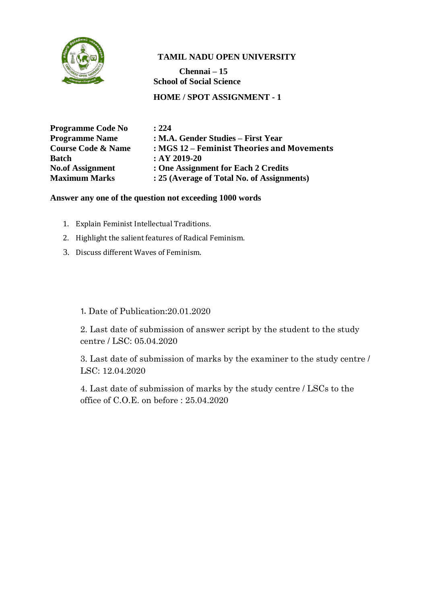

**Chennai – 15 School of Social Science**

**HOME / SPOT ASSIGNMENT - 1**

| : 224                                      |
|--------------------------------------------|
| : M.A. Gender Studies – First Year         |
| : MGS 12 – Feminist Theories and Movements |
| $:AY 2019-20$                              |
| : One Assignment for Each 2 Credits        |
| : 25 (Average of Total No. of Assignments) |
|                                            |

#### **Answer any one of the question not exceeding 1000 words**

- 1. Explain Feminist Intellectual Traditions.
- 2. Highlight the salient features of Radical Feminism.
- 3. Discuss different Waves of Feminism.

1. Date of Publication:20.01.2020

2. Last date of submission of answer script by the student to the study centre / LSC: 05.04.2020

3. Last date of submission of marks by the examiner to the study centre / LSC: 12.04.2020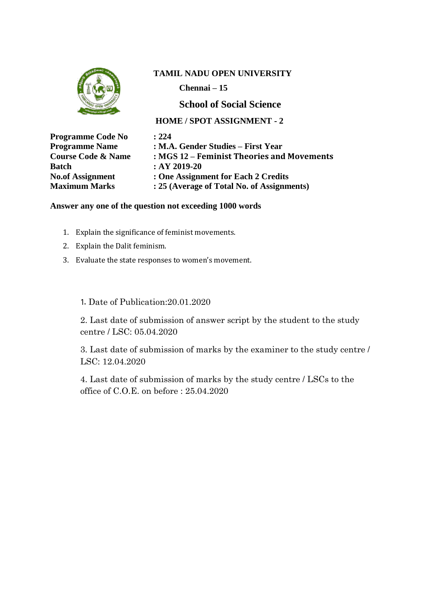

**Chennai – 15**

# **School of Social Science**

#### **HOME / SPOT ASSIGNMENT - 2**

| <b>Programme Code No</b>      | : 224                                      |
|-------------------------------|--------------------------------------------|
| <b>Programme Name</b>         | : M.A. Gender Studies – First Year         |
| <b>Course Code &amp; Name</b> | : MGS 12 – Feminist Theories and Movements |
| <b>Batch</b>                  | $:AY 2019-20$                              |
| <b>No.of Assignment</b>       | : One Assignment for Each 2 Credits        |
| <b>Maximum Marks</b>          | : 25 (Average of Total No. of Assignments) |
|                               |                                            |

#### **Answer any one of the question not exceeding 1000 words**

- 1. Explain the significance of feminist movements.
- 2. Explain the Dalit feminism.
- 3. Evaluate the state responses to women's movement.

1. Date of Publication:20.01.2020

2. Last date of submission of answer script by the student to the study centre / LSC: 05.04.2020

3. Last date of submission of marks by the examiner to the study centre / LSC: 12.04.2020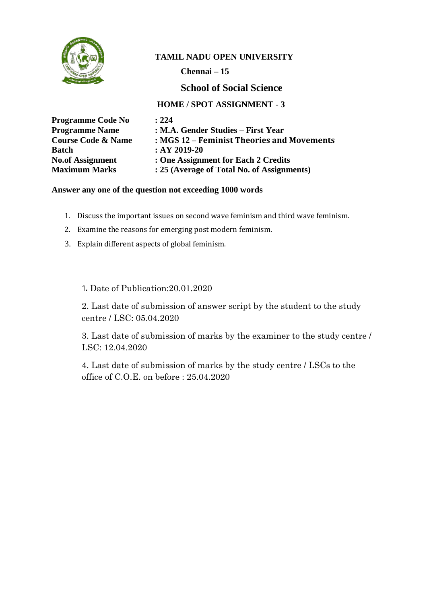

**Chennai – 15**

# **School of Social Science**

## **HOME / SPOT ASSIGNMENT - 3**

| <b>Programme Code No</b>      | : 224                                      |
|-------------------------------|--------------------------------------------|
| <b>Programme Name</b>         | : M.A. Gender Studies – First Year         |
| <b>Course Code &amp; Name</b> | : MGS 12 – Feminist Theories and Movements |
| <b>Batch</b>                  | $:AY 2019-20$                              |
| <b>No.of Assignment</b>       | : One Assignment for Each 2 Credits        |
| <b>Maximum Marks</b>          | : 25 (Average of Total No. of Assignments) |

#### **Answer any one of the question not exceeding 1000 words**

- 1. Discuss the important issues on second wave feminism and third wave feminism.
- 2. Examine the reasons for emerging post modern feminism.
- 3. Explain different aspects of global feminism.

1. Date of Publication:20.01.2020

2. Last date of submission of answer script by the student to the study centre / LSC: 05.04.2020

3. Last date of submission of marks by the examiner to the study centre / LSC: 12.04.2020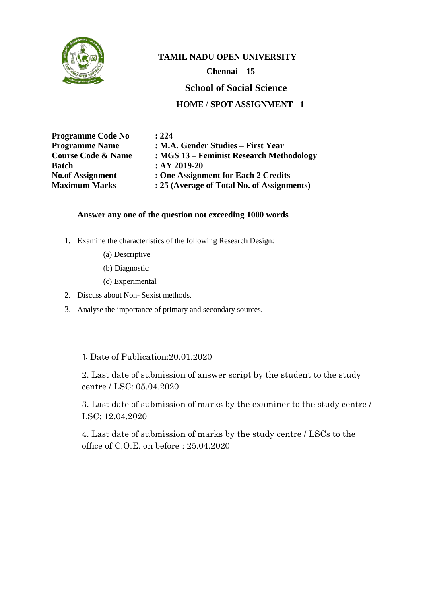

 **Chennai – 15**

### **School of Social Science**

## **HOME / SPOT ASSIGNMENT - 1**

| <b>Programme Code No</b>      | : 224                                      |
|-------------------------------|--------------------------------------------|
| <b>Programme Name</b>         | : M.A. Gender Studies – First Year         |
| <b>Course Code &amp; Name</b> | : MGS 13 – Feminist Research Methodology   |
| Batch                         | $:AY 2019-20$                              |
| <b>No.of Assignment</b>       | : One Assignment for Each 2 Credits        |
| <b>Maximum Marks</b>          | : 25 (Average of Total No. of Assignments) |

#### **Answer any one of the question not exceeding 1000 words**

- 1. Examine the characteristics of the following Research Design:
	- (a) Descriptive
	- (b) Diagnostic
	- (c) Experimental
- 2. Discuss about Non- Sexist methods.
- 3. Analyse the importance of primary and secondary sources.

#### 1. Date of Publication:20.01.2020

2. Last date of submission of answer script by the student to the study centre / LSC: 05.04.2020

3. Last date of submission of marks by the examiner to the study centre / LSC: 12.04.2020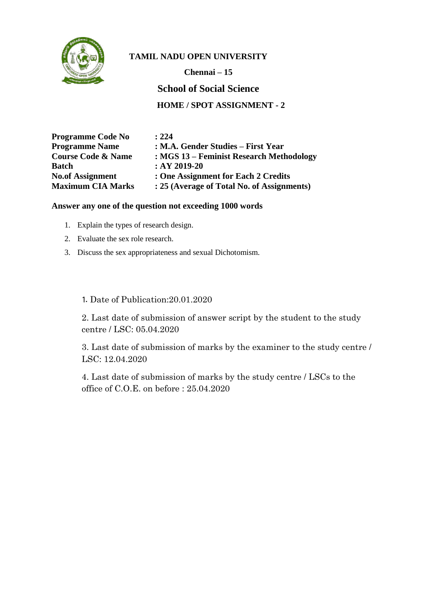

**Chennai – 15**

**School of Social Science**

**HOME / SPOT ASSIGNMENT - 2**

| <b>Programme Code No</b>      | : 224                                      |
|-------------------------------|--------------------------------------------|
| <b>Programme Name</b>         | : M.A. Gender Studies – First Year         |
| <b>Course Code &amp; Name</b> | : MGS 13 – Feminist Research Methodology   |
| <b>Batch</b>                  | $:AY 2019-20$                              |
| <b>No.of Assignment</b>       | : One Assignment for Each 2 Credits        |
| <b>Maximum CIA Marks</b>      | : 25 (Average of Total No. of Assignments) |

#### **Answer any one of the question not exceeding 1000 words**

- 1. Explain the types of research design.
- 2. Evaluate the sex role research.
- 3. Discuss the sex appropriateness and sexual Dichotomism.

1. Date of Publication:20.01.2020

2. Last date of submission of answer script by the student to the study centre / LSC: 05.04.2020

3. Last date of submission of marks by the examiner to the study centre / LSC: 12.04.2020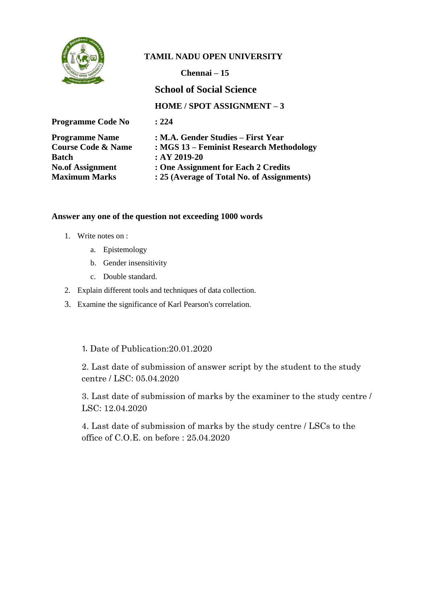

**Chennai – 15**

**School of Social Science**

**HOME / SPOT ASSIGNMENT – 3**

| <b>Programme Code No</b>      | : 224                                      |
|-------------------------------|--------------------------------------------|
| <b>Programme Name</b>         | : M.A. Gender Studies – First Year         |
| <b>Course Code &amp; Name</b> | : MGS 13 – Feminist Research Methodology   |
| <b>Batch</b>                  | $:AY2019-20$                               |
| <b>No.of Assignment</b>       | : One Assignment for Each 2 Credits        |
| <b>Maximum Marks</b>          | : 25 (Average of Total No. of Assignments) |

#### **Answer any one of the question not exceeding 1000 words**

- 1. Write notes on :
	- a. Epistemology
	- b. Gender insensitivity
	- c. Double standard.
- 2. Explain different tools and techniques of data collection.
- 3. Examine the significance of Karl Pearson's correlation.

#### 1. Date of Publication:20.01.2020

2. Last date of submission of answer script by the student to the study centre / LSC: 05.04.2020

3. Last date of submission of marks by the examiner to the study centre / LSC: 12.04.2020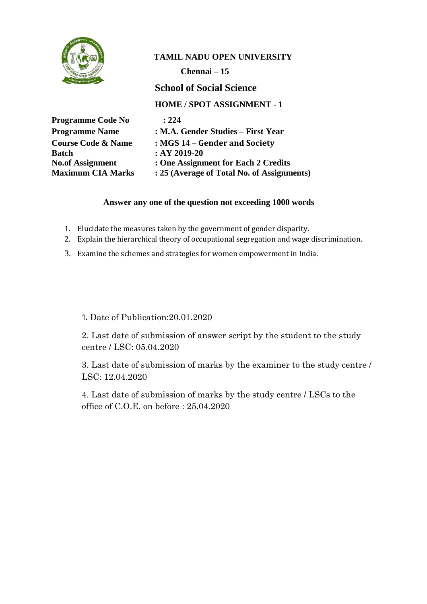

**Chennai – 15**

**School of Social Science**

**HOME / SPOT ASSIGNMENT - 1**

| <b>Programme Code No</b>      | : 224                                      |
|-------------------------------|--------------------------------------------|
| <b>Programme Name</b>         | : M.A. Gender Studies – First Year         |
| <b>Course Code &amp; Name</b> | : MGS 14 – Gender and Society              |
| <b>Batch</b>                  | $:AY 2019-20$                              |
| <b>No.of Assignment</b>       | : One Assignment for Each 2 Credits        |
| <b>Maximum CIA Marks</b>      | : 25 (Average of Total No. of Assignments) |

#### **Answer any one of the question not exceeding 1000 words**

- 1. Elucidate the measures taken by the government of gender disparity.
- 2. Explain the hierarchical theory of occupational segregation and wage discrimination.
- 3. Examine the schemes and strategies for women empowerment in India.

1. Date of Publication:20.01.2020

2. Last date of submission of answer script by the student to the study centre / LSC: 05.04.2020

3. Last date of submission of marks by the examiner to the study centre / LSC: 12.04.2020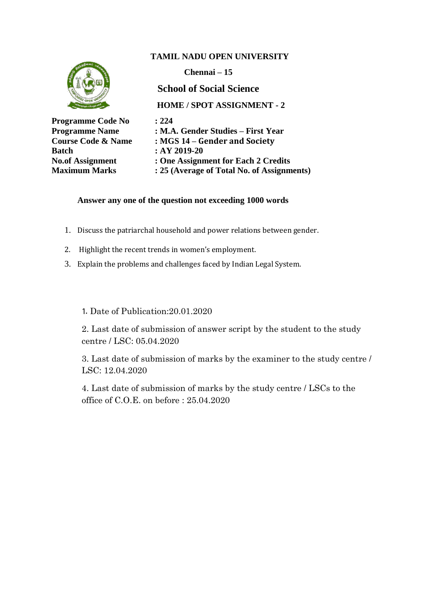

#### **Answer any one of the question not exceeding 1000 words**

- 1. Discuss the patriarchal household and power relations between gender.
- 2. Highlight the recent trends in women's employment.
- 3. Explain the problems and challenges faced by Indian Legal System.

1. Date of Publication:20.01.2020

2. Last date of submission of answer script by the student to the study centre / LSC: 05.04.2020

3. Last date of submission of marks by the examiner to the study centre / LSC: 12.04.2020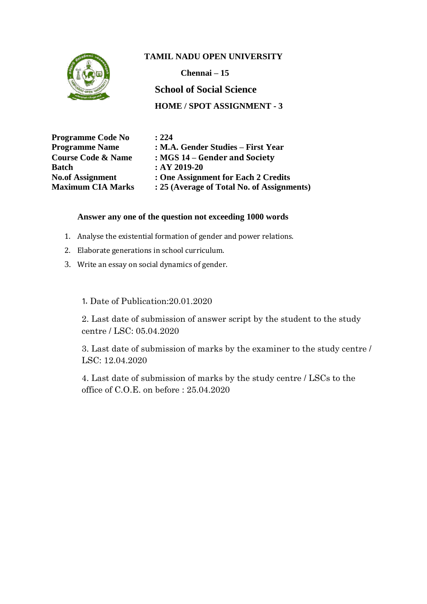

**Chennai – 15 School of Social Science**

**HOME / SPOT ASSIGNMENT - 3**

| <b>Programme Code No</b>      | : 224                                      |
|-------------------------------|--------------------------------------------|
| <b>Programme Name</b>         | : M.A. Gender Studies – First Year         |
| <b>Course Code &amp; Name</b> | : MGS 14 – Gender and Society              |
| <b>Batch</b>                  | $:AY 2019-20$                              |
| <b>No.of Assignment</b>       | : One Assignment for Each 2 Credits        |
| <b>Maximum CIA Marks</b>      | : 25 (Average of Total No. of Assignments) |

#### **Answer any one of the question not exceeding 1000 words**

- 1. Analyse the existential formation of gender and power relations.
- 2. Elaborate generations in school curriculum.
- 3. Write an essay on social dynamics of gender.

1. Date of Publication:20.01.2020

2. Last date of submission of answer script by the student to the study centre / LSC: 05.04.2020

3. Last date of submission of marks by the examiner to the study centre / LSC: 12.04.2020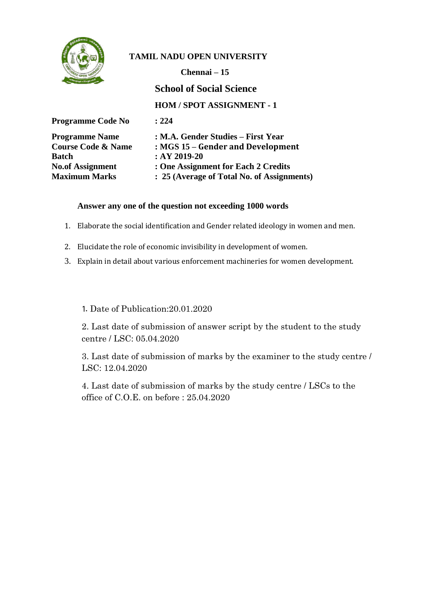

**Chennai – 15**

**School of Social Science**

**HOM / SPOT ASSIGNMENT - 1**

| : 224                                      |
|--------------------------------------------|
| : M.A. Gender Studies – First Year         |
| : MGS 15 – Gender and Development          |
| $:AY 2019-20$                              |
| : One Assignment for Each 2 Credits        |
| : 25 (Average of Total No. of Assignments) |
|                                            |

#### **Answer any one of the question not exceeding 1000 words**

- 1. Elaborate the social identification and Gender related ideology in women and men.
- 2. Elucidate the role of economic invisibility in development of women.
- 3. Explain in detail about various enforcement machineries for women development.

#### 1. Date of Publication:20.01.2020

2. Last date of submission of answer script by the student to the study centre / LSC: 05.04.2020

3. Last date of submission of marks by the examiner to the study centre / LSC: 12.04.2020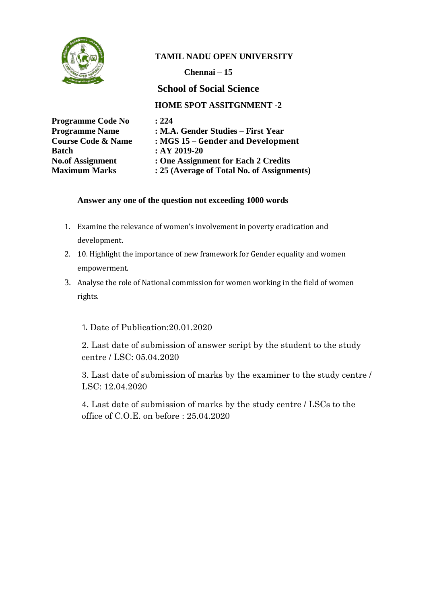

**Chennai – 15**

**School of Social Science**

**HOME SPOT ASSITGNMENT -2**

| <b>Programme Code No</b>      | : 224                                      |
|-------------------------------|--------------------------------------------|
| <b>Programme Name</b>         | : M.A. Gender Studies – First Year         |
| <b>Course Code &amp; Name</b> | : MGS 15 – Gender and Development          |
| <b>Batch</b>                  | $:AY 2019-20$                              |
| <b>No.of Assignment</b>       | : One Assignment for Each 2 Credits        |
| <b>Maximum Marks</b>          | : 25 (Average of Total No. of Assignments) |

#### **Answer any one of the question not exceeding 1000 words**

- 1. Examine the relevance of women's involvement in poverty eradication and development.
- 2. 10. Highlight the importance of new framework for Gender equality and women empowerment.
- 3. Analyse the role of National commission for women working in the field of women rights.

# 1. Date of Publication:20.01.2020

2. Last date of submission of answer script by the student to the study centre / LSC: 05.04.2020

3. Last date of submission of marks by the examiner to the study centre / LSC: 12.04.2020